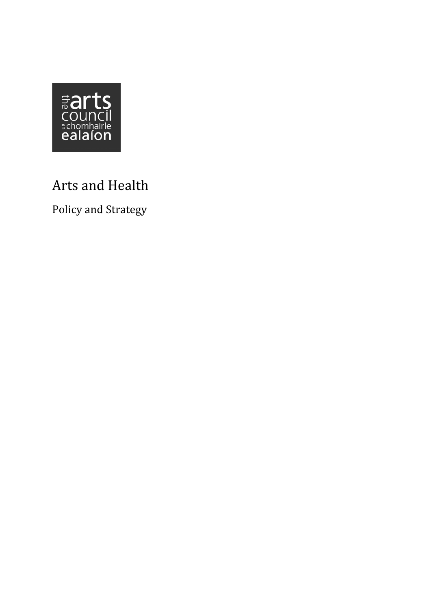

# Arts and Health

Policy and Strategy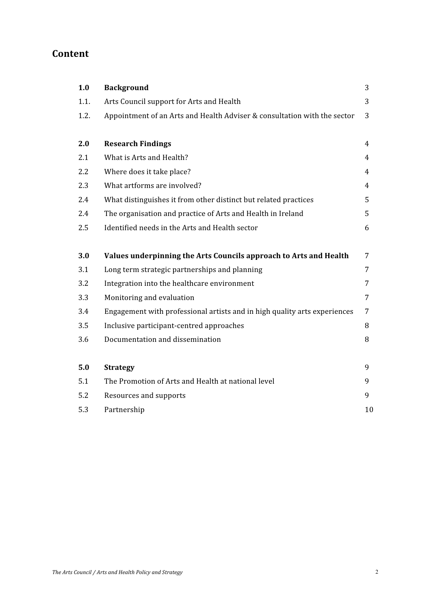# Content

| 1.0  | <b>Background</b>                                                         | 3  |
|------|---------------------------------------------------------------------------|----|
| 1.1. | Arts Council support for Arts and Health                                  | 3  |
| 1.2. | Appointment of an Arts and Health Adviser & consultation with the sector  | 3  |
|      |                                                                           |    |
| 2.0  | <b>Research Findings</b>                                                  | 4  |
| 2.1  | What is Arts and Health?                                                  | 4  |
| 2.2  | Where does it take place?                                                 | 4  |
| 2.3  | What artforms are involved?                                               | 4  |
| 2.4  | What distinguishes it from other distinct but related practices           | 5  |
| 2.4  | The organisation and practice of Arts and Health in Ireland               | 5  |
| 2.5  | Identified needs in the Arts and Health sector                            | 6  |
|      |                                                                           |    |
| 3.0  | Values underpinning the Arts Councils approach to Arts and Health         | 7  |
| 3.1  | Long term strategic partnerships and planning                             | 7  |
| 3.2  | Integration into the healthcare environment                               | 7  |
| 3.3  | Monitoring and evaluation                                                 | 7  |
| 3.4  | Engagement with professional artists and in high quality arts experiences | 7  |
| 3.5  | Inclusive participant-centred approaches                                  | 8  |
| 3.6  | Documentation and dissemination                                           | 8  |
|      |                                                                           |    |
| 5.0  | <b>Strategy</b>                                                           | 9  |
| 5.1  | The Promotion of Arts and Health at national level                        | 9  |
| 5.2  | Resources and supports                                                    | 9  |
| 5.3  | Partnership                                                               | 10 |
|      |                                                                           |    |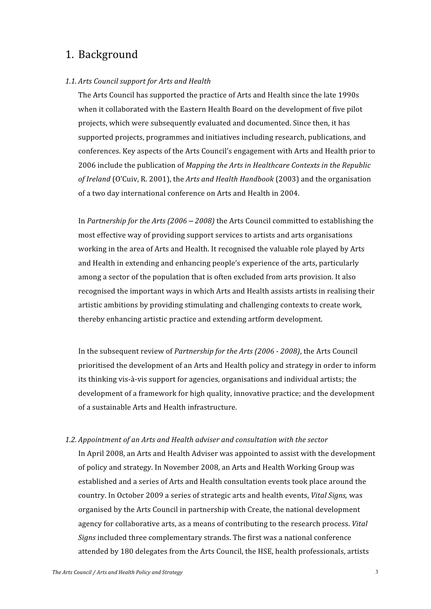# 1. Background

#### 1.1. Arts Council support for Arts and Health

The Arts Council has supported the practice of Arts and Health since the late 1990s when it collaborated with the Eastern Health Board on the development of five pilot projects, which were subsequently evaluated and documented. Since then, it has supported projects, programmes and initiatives including research, publications, and conferences. Key aspects of the Arts Council's engagement with Arts and Health prior to 2006 include the publication of Mapping the Arts in Healthcare Contexts in the Republic of Ireland (O'Cuiv, R. 2001), the Arts and Health Handbook (2003) and the organisation of a two day international conference on Arts and Health in 2004.

In Partnership for the Arts  $(2006 - 2008)$  the Arts Council committed to establishing the most effective way of providing support services to artists and arts organisations working in the area of Arts and Health. It recognised the valuable role played by Arts and Health in extending and enhancing people's experience of the arts, particularly among a sector of the population that is often excluded from arts provision. It also recognised the important ways in which Arts and Health assists artists in realising their artistic ambitions by providing stimulating and challenging contexts to create work, thereby enhancing artistic practice and extending artform development.

In the subsequent review of Partnership for the Arts (2006 - 2008), the Arts Council prioritised the development of an Arts and Health policy and strategy in order to inform its thinking vis-à-vis support for agencies, organisations and individual artists; the development of a framework for high quality, innovative practice; and the development of a sustainable Arts and Health infrastructure.

#### 1.2. Appointment of an Arts and Health adviser and consultation with the sector

In April 2008, an Arts and Health Adviser was appointed to assist with the development of policy and strategy. In November 2008, an Arts and Health Working Group was established and a series of Arts and Health consultation events took place around the country. In October 2009 a series of strategic arts and health events. Vital Sians, was organised by the Arts Council in partnership with Create, the national development agency for collaborative arts, as a means of contributing to the research process. Vital Signs included three complementary strands. The first was a national conference attended by 180 delegates from the Arts Council, the HSE, health professionals, artists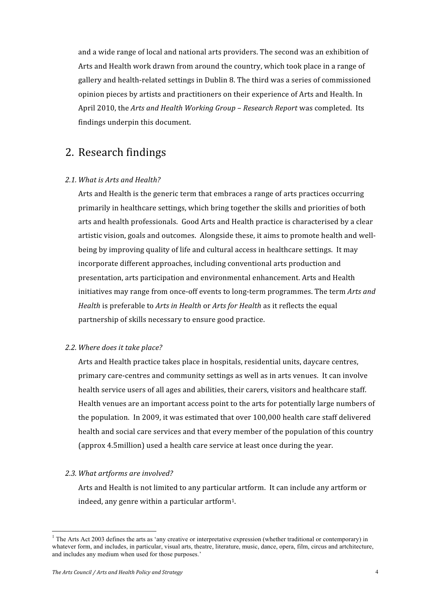and a wide range of local and national arts providers. The second was an exhibition of Arts and Health work drawn from around the country, which took place in a range of gallery and health-related settings in Dublin 8. The third was a series of commissioned opinion pieces by artists and practitioners on their experience of Arts and Health. In April 2010, the *Arts and Health Working Group – Research Report was completed. Its* findings underpin this document.

# 2. Research findings

#### 2.1 What is Arts and Health?

Arts and Health is the generic term that embraces a range of arts practices occurring primarily in healthcare settings, which bring together the skills and priorities of both arts and health professionals. Good Arts and Health practice is characterised by a clear artistic vision, goals and outcomes. Alongside these, it aims to promote health and wellbeing by improving quality of life and cultural access in healthcare settings. It may incorporate different approaches, including conventional arts production and presentation, arts participation and environmental enhancement. Arts and Health initiatives may range from once-off events to long-term programmes. The term *Arts and* Health is preferable to *Arts in Health or Arts for Health as it reflects the equal* partnership of skills necessary to ensure good practice.

#### 2.2. Where does it take place?

Arts and Health practice takes place in hospitals, residential units, daycare centres, primary care-centres and community settings as well as in arts venues. It can involve health service users of all ages and abilities, their carers, visitors and healthcare staff. Health venues are an important access point to the arts for potentially large numbers of the population. In 2009, it was estimated that over 100,000 health care staff delivered health and social care services and that every member of the population of this country (approx 4.5 million) used a health care service at least once during the vear.

#### 2.3. What artforms are involved?

Arts and Health is not limited to any particular artform. It can include any artform or indeed, any genre within a particular artform<sup>1</sup>.

<sup>&</sup>lt;sup>1</sup> The Arts Act 2003 defines the arts as 'any creative or interpretative expression (whether traditional or contemporary) in whatever form, and includes, in particular, visual arts, theatre, literature, music, dance, opera, film, circus and artchitecture, and includes any medium when used for those purposes.'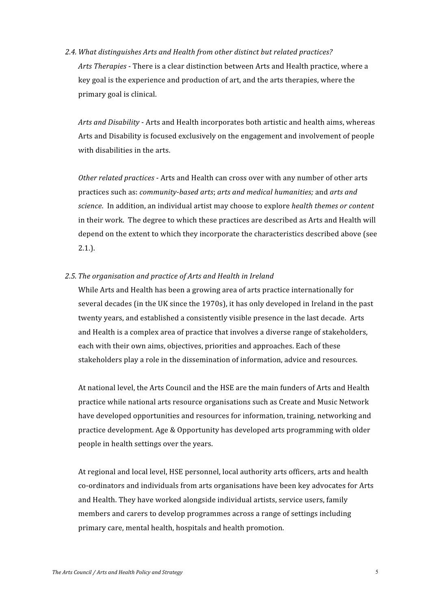2.4. What distinguishes Arts and Health from other distinct but related practices? Arts Therapies - There is a clear distinction between Arts and Health practice, where a key goal is the experience and production of art, and the arts therapies, where the primary goal is clinical.

Arts and Disability - Arts and Health incorporates both artistic and health aims, whereas Arts and Disability is focused exclusively on the engagement and involvement of people with disabilities in the arts.

Other related practices - Arts and Health can cross over with any number of other arts practices such as: community-based arts; arts and medical humanities; and arts and science. In addition, an individual artist may choose to explore health themes or content in their work. The degree to which these practices are described as Arts and Health will depend on the extent to which they incorporate the characteristics described above (see  $2.1.$ ).

#### 2.5. The organisation and practice of Arts and Health in Ireland

While Arts and Health has been a growing area of arts practice internationally for several decades (in the UK since the 1970s), it has only developed in Ireland in the past twenty years, and established a consistently visible presence in the last decade. Arts and Health is a complex area of practice that involves a diverse range of stakeholders, each with their own aims, objectives, priorities and approaches. Each of these stakeholders play a role in the dissemination of information, advice and resources.

At national level, the Arts Council and the HSE are the main funders of Arts and Health practice while national arts resource organisations such as Create and Music Network have developed opportunities and resources for information, training, networking and practice development. Age & Opportunity has developed arts programming with older people in health settings over the years.

At regional and local level, HSE personnel, local authority arts officers, arts and health co-ordinators and individuals from arts organisations have been key advocates for Arts and Health. They have worked alongside individual artists, service users, family members and carers to develop programmes across a range of settings including primary care, mental health, hospitals and health promotion.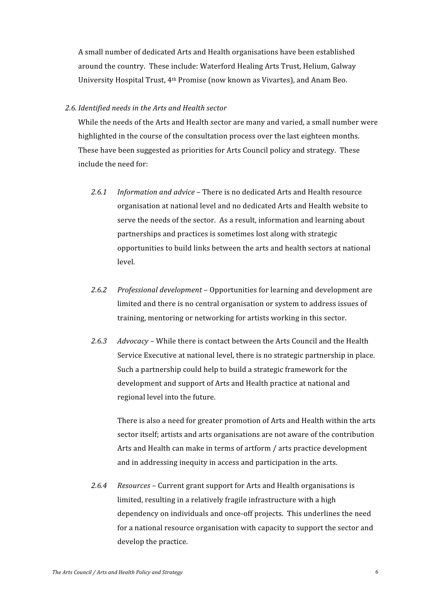A small number of dedicated Arts and Health organisations have been established around the country. These include: Waterford Healing Arts Trust, Helium, Galway University Hospital Trust, 4<sup>th</sup> Promise (now known as Vivartes), and Anam Beo.

#### 2.6. Identified needs in the Arts and Health sector

While the needs of the Arts and Health sector are many and varied, a small number were highlighted in the course of the consultation process over the last eighteen months. These have been suggested as priorities for Arts Council policy and strategy. These include the need for:

- $2.6.1$ Information and advice - There is no dedicated Arts and Health resource organisation at national level and no dedicated Arts and Health website to serve the needs of the sector. As a result, information and learning about partnerships and practices is sometimes lost along with strategic opportunities to build links between the arts and health sectors at national level.
- $2.6.2$ *Professional development – Opportunities for learning and development are* limited and there is no central organisation or system to address issues of training, mentoring or networking for artists working in this sector.
- $2.6.3$ Advocacy - While there is contact between the Arts Council and the Health Service Executive at national level, there is no strategic partnership in place. Such a partnership could help to build a strategic framework for the development and support of Arts and Health practice at national and regional level into the future.

There is also a need for greater promotion of Arts and Health within the arts sector itself; artists and arts organisations are not aware of the contribution Arts and Health can make in terms of artform / arts practice development and in addressing inequity in access and participation in the arts.

 $2.6.4$ Resources - Current grant support for Arts and Health organisations is limited, resulting in a relatively fragile infrastructure with a high dependency on individuals and once-off projects. This underlines the need for a national resource organisation with capacity to support the sector and develop the practice.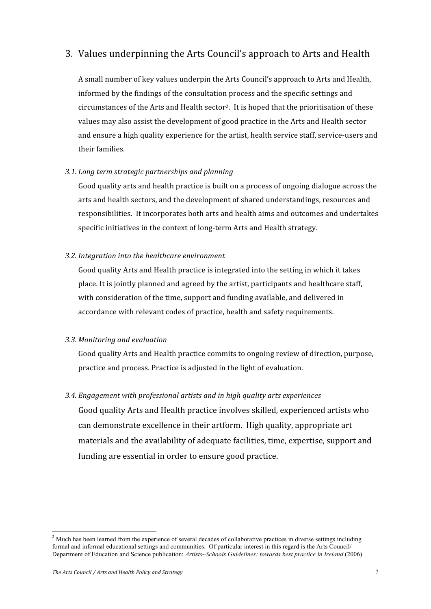### 3. Values underpinning the Arts Council's approach to Arts and Health

A small number of key values underpin the Arts Council's approach to Arts and Health, informed by the findings of the consultation process and the specific settings and circumstances of the Arts and Health sector<sup>2</sup>. It is hoped that the prioritisation of these values may also assist the development of good practice in the Arts and Health sector and ensure a high quality experience for the artist, health service staff, service-users and their families.

#### 3.1. Long term strategic partnerships and planning

Good quality arts and health practice is built on a process of ongoing dialogue across the arts and health sectors, and the development of shared understandings, resources and responsibilities. It incorporates both arts and health aims and outcomes and undertakes specific initiatives in the context of long-term Arts and Health strategy.

#### 3.2. Integration into the healthcare environment

Good quality Arts and Health practice is integrated into the setting in which it takes place. It is jointly planned and agreed by the artist, participants and healthcare staff, with consideration of the time, support and funding available, and delivered in accordance with relevant codes of practice, health and safety requirements.

#### 3.3. Monitoring and evaluation

Good quality Arts and Health practice commits to ongoing review of direction, purpose, practice and process. Practice is adjusted in the light of evaluation.

#### 3.4. Engagement with professional artists and in high quality arts experiences

Good quality Arts and Health practice involves skilled, experienced artists who can demonstrate excellence in their artform. High quality, appropriate art materials and the availability of adequate facilities, time, expertise, support and funding are essential in order to ensure good practice.

<sup>&</sup>lt;sup>2</sup> Much has been learned from the experience of several decades of collaborative practices in diverse settings including <sup>2</sup> formal and informal educational settings and communities. Of particular interest in this regard is the Arts Council/ Department of Education and Science publication: *Artists~Schools Guidelines: towards best practice in Ireland* (2006).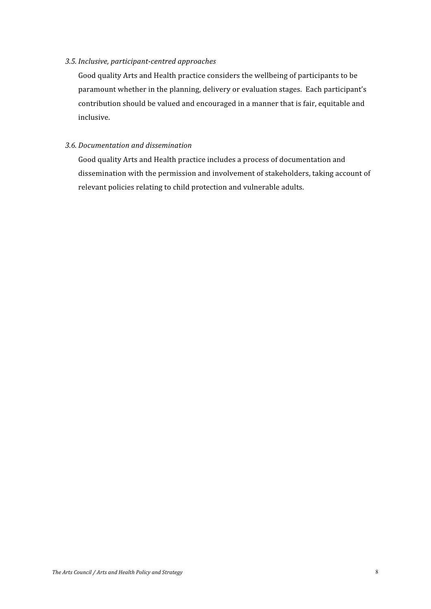#### 3.5. Inclusive, participant-centred approaches

Good quality Arts and Health practice considers the wellbeing of participants to be paramount whether in the planning, delivery or evaluation stages. Each participant's contribution should be valued and encouraged in a manner that is fair, equitable and inclusive.

#### 3.6. Documentation and dissemination

Good quality Arts and Health practice includes a process of documentation and dissemination with the permission and involvement of stakeholders, taking account of relevant policies relating to child protection and vulnerable adults.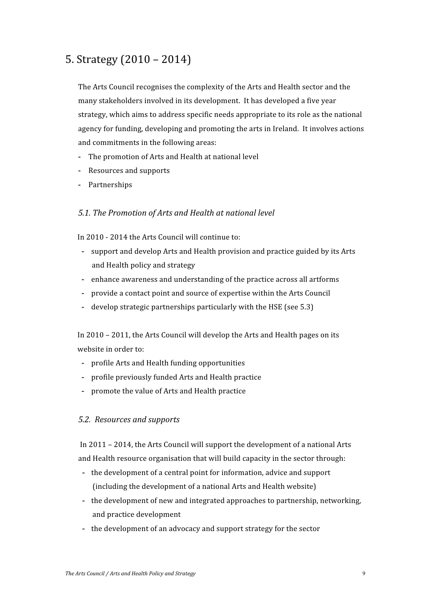# 5. Strategy  $(2010 - 2014)$

The Arts Council recognises the complexity of the Arts and Health sector and the many stakeholders involved in its development. It has developed a five year strategy, which aims to address specific needs appropriate to its role as the national agency for funding, developing and promoting the arts in Ireland. It involves actions and commitments in the following areas:

- The promotion of Arts and Health at national level
- Resources and supports
- Partnerships

#### 5.1. The Promotion of Arts and Health at national level

In 2010 - 2014 the Arts Council will continue to:

- support and develop Arts and Health provision and practice guided by its Arts and Health policy and strategy
- enhance awareness and understanding of the practice across all artforms
- provide a contact point and source of expertise within the Arts Council
- develop strategic partnerships particularly with the HSE (see 5.3)

In 2010 - 2011, the Arts Council will develop the Arts and Health pages on its website in order to:

- profile Arts and Health funding opportunities
- profile previously funded Arts and Health practice
- promote the value of Arts and Health practice

#### 5.2. Resources and supports

In 2011 - 2014, the Arts Council will support the development of a national Arts and Health resource organisation that will build capacity in the sector through:

- the development of a central point for information, advice and support (including the development of a national Arts and Health website)
- the development of new and integrated approaches to partnership, networking, and practice development
- the development of an advocacy and support strategy for the sector